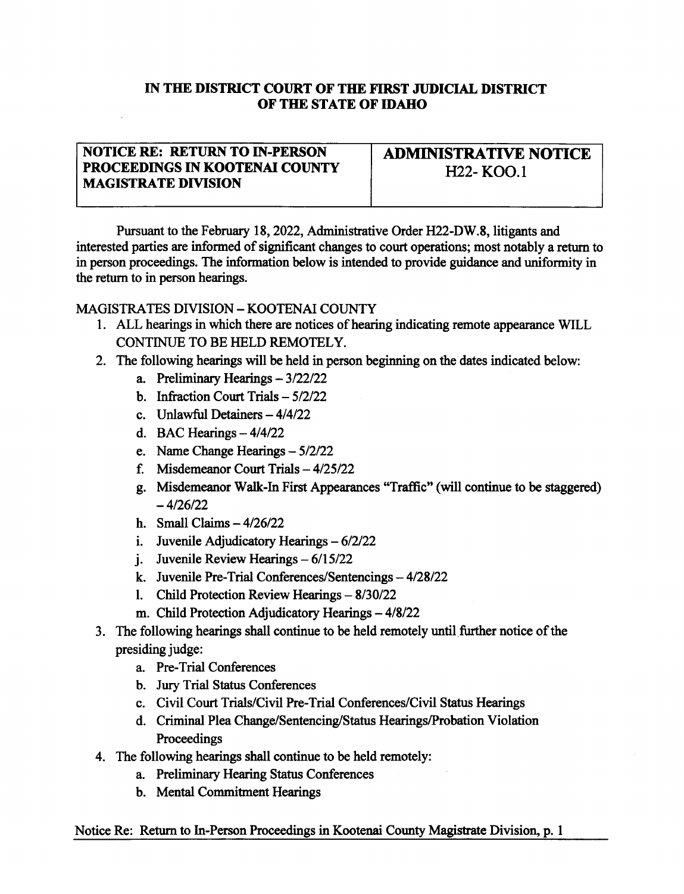## IN THE DISTRICT COURT OF THE FIRST JUDICIAL DISTRICT OF THE STATE OF IDAHO

## NOTICE RE: RETIIRN TO IN-PERSON PROCEEDINGS IN KOOTENAI COUNTY MAGISTRATE DIVISION

ADMIMSTRATTVE NOTICE H<sub>22</sub>- KOO.1

Pursuant to the February 18, 2022, Administrative Order H22-DW.8, litigants and interested parties are informed of significant changes to court operations; most notably a return to in person proceedings. The information below is intended to provide guidance and uniformity in the retum to in person hearings.

## MAGISTRATES DIVISION - KOOTENAI COUNTY

- l. ALL hearings in which there are notices of hearing indicating remote appearaoce WILL CONTINUE TO BE HELD REMOTELY.
- 2. The following hearings will be held in person beginning on the dates indicated below:
	- a. Preliminary Hearings  $-3/22/22$
	- b. Infraction Court Trials  $-5/2/22$
	- c. Unlawful Detainers  $-4/4/22$
	- d. BAC Hearings  $-4/4/22$
	- e. Name Change Hearings  $5/2/22$
	- f. Misdemeanor Court Trials  $-4/25/22$
	- g. Misdemeanor Walk-In First Appearances "Traffic" (will continue to be staggered)  $-4/26/22$
	- h. Small Claims  $-4/26/22$
	- i. Juvenile Adjudicatory Hearings  $-6/2/22$ <br>i. Juvenile Review Hearings  $-6/15/22$
	-
	- k. Juvenile Pre-Trial Conferences/Sentencings 4/28/22
	- 1. Child Protection Review Hearings 8/30/22
	- m. Child Protection Adjudicatory Hearings 4/8/22
- 3. The following hearings shall continue to be held remotely until firther notice of the presiding judge:
	- a. Pre-Trial Conferences
	- b. Jury Trial Status Conferences
	- c. Civil Court Trials/Civil Pre-Trial Conferences/Civil Status Hearings
	- d. Criminal Plea Change/Sentencing/Status Hearings/Probation Violation Proceedings
- 4. The following hearings shall continue to be held remotely:
	- a. Preliminary Hearing Status Conferences
	- b. Mental Commitment Hearings

## Notice Re: Retum to In-Person Proceedings in Kootenai County Magistrate Division, p. I